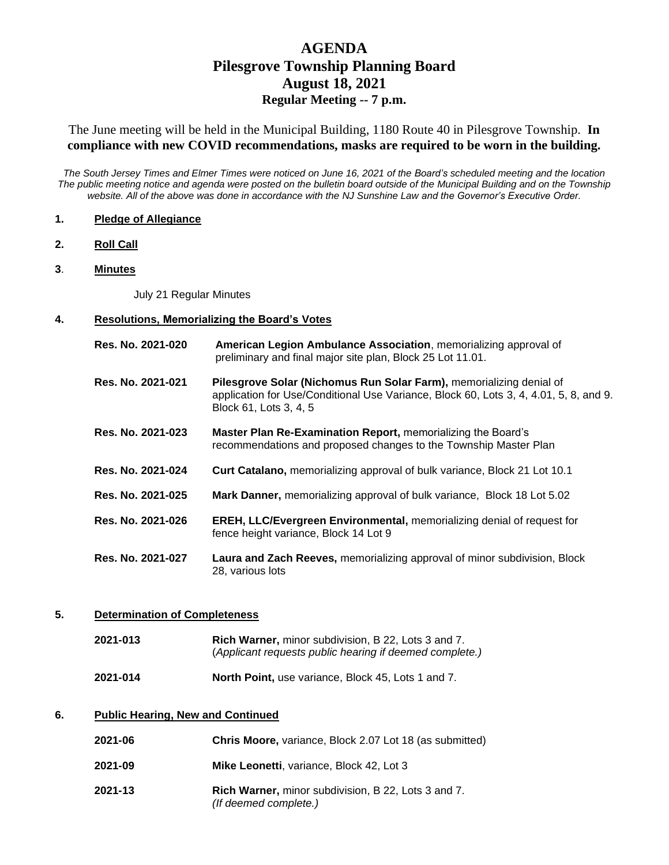# **AGENDA Pilesgrove Township Planning Board August 18, 2021 Regular Meeting -- 7 p.m.**

The June meeting will be held in the Municipal Building, 1180 Route 40 in Pilesgrove Township. **In compliance with new COVID recommendations, masks are required to be worn in the building.** 

*The South Jersey Times and Elmer Times were noticed on June 16, 2021 of the Board's scheduled meeting and the location The public meeting notice and agenda were posted on the bulletin board outside of the Municipal Building and on the Township website. All of the above was done in accordance with the NJ Sunshine Law and the Governor's Executive Order.*

#### **1. Pledge of Allegiance**

- **2. Roll Call**
- **3**. **Minutes**

July 21 Regular Minutes

#### **4. Resolutions, Memorializing the Board's Votes**

| Res. No. 2021-020 | American Legion Ambulance Association, memorializing approval of<br>preliminary and final major site plan, Block 25 Lot 11.01.                                                         |
|-------------------|----------------------------------------------------------------------------------------------------------------------------------------------------------------------------------------|
| Res. No. 2021-021 | Pilesgrove Solar (Nichomus Run Solar Farm), memorializing denial of<br>application for Use/Conditional Use Variance, Block 60, Lots 3, 4, 4.01, 5, 8, and 9.<br>Block 61, Lots 3, 4, 5 |
| Res. No. 2021-023 | Master Plan Re-Examination Report, memorializing the Board's<br>recommendations and proposed changes to the Township Master Plan                                                       |
| Res. No. 2021-024 | Curt Catalano, memorializing approval of bulk variance, Block 21 Lot 10.1                                                                                                              |
| Res. No. 2021-025 | Mark Danner, memorializing approval of bulk variance, Block 18 Lot 5.02                                                                                                                |
| Res. No. 2021-026 | <b>EREH, LLC/Evergreen Environmental, memorializing denial of request for</b><br>fence height variance, Block 14 Lot 9                                                                 |
| Res. No. 2021-027 | Laura and Zach Reeves, memorializing approval of minor subdivision, Block<br>28. various lots                                                                                          |

#### **5. Determination of Completeness**

| Rich Warner, minor subdivision, B 22, Lots 3 and 7.     |
|---------------------------------------------------------|
| (Applicant requests public hearing if deemed complete.) |
|                                                         |

**2021-014 North Point,** use variance, Block 45, Lots 1 and 7.

### **6. Public Hearing, New and Continued**

| 2021-06 | Chris Moore, variance, Block 2.07 Lot 18 (as submitted)                             |
|---------|-------------------------------------------------------------------------------------|
| 2021-09 | Mike Leonetti, variance, Block 42, Lot 3                                            |
| 2021-13 | <b>Rich Warner, minor subdivision, B 22, Lots 3 and 7.</b><br>(If deemed complete.) |